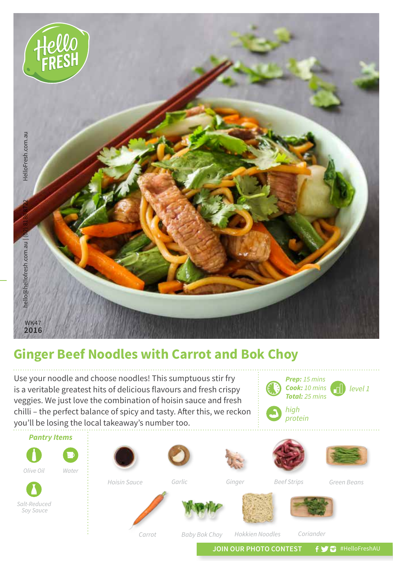

## **Ginger Beef Noodles with Carrot and Bok Choy**

Use your noodle and choose noodles! This sumptuous stir fry is a veritable greatest hits of delicious flavours and fresh crispy veggies. We just love the combination of hoisin sauce and fresh chilli – the perfect balance of spicy and tasty. After this, we reckon you'll be losing the local takeaway's number too.



JOIN OUR PHOTO CONTEST **f y** a #HelloFreshAU

*level 1*

*Prep: 15 mins Cook: 10 mins Total: 25 mins*

*high protein*